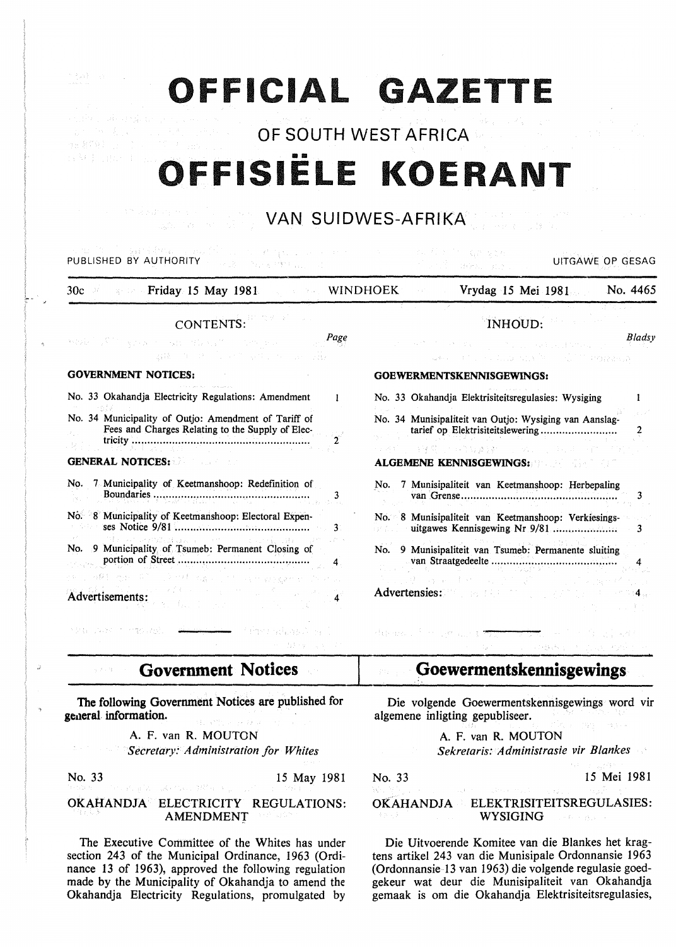# **OFFICIAL GAZETTE**

OF SOUTH WEST AFRICA

# .... **OFFISIELE KOERANT**

#### VAN SUIDWES-AFRIKA n an Salaman<br>Sayah Marekan (1997)

| 그는 그는 그 사람들이 없는 사람들이 없었다.<br>PUBLISHED BY AUTHORITY<br>Page & Printer December                                                                                                                                                                                   | UITGAWE OP GESAG<br>1995. atl                                                                                                                                                                                                                                   |
|------------------------------------------------------------------------------------------------------------------------------------------------------------------------------------------------------------------------------------------------------------------|-----------------------------------------------------------------------------------------------------------------------------------------------------------------------------------------------------------------------------------------------------------------|
| <b>Example 20 Friday 15 May 1981</b> 2008 2008 WINDHOEK<br>30c                                                                                                                                                                                                   | No. 4465<br>Vrydag 15 Mei 1981                                                                                                                                                                                                                                  |
| CONTENTS:<br>Page<br>the control of the special control of the control of the control of the control of the control of the control of<br>발표 - 이 버스의 대체 발표 : 사이 : Hotel<br><b>GOVERNMENT NOTICES:</b>                                                             | INHOUD:<br>Bladsy<br>at the RN of the RN of the Control and the English Street of the<br>were a the content with the collection and the complete state<br>GOEWERMENTSKENNISGEWINGS:                                                                             |
| No. 33 Okahandja Electricity Regulations: Amendment<br>1<br>No. 34 Municipality of Outjo: Amendment of Tariff of<br>Fees and Charges Relating to the Supply of Elec-<br><b>GENERAL NOTICES:</b>                                                                  | No. 33 Okahandia Elektrisiteitsregulasies: Wysiging<br>No. 34 Munisipaliteit van Outjo: Wysiging van Aanslag-<br>tarief op Elektrisiteitslewering<br>- 自身関心の非常な達録をしていないというなは、自然に<br><b>ALGEMENE KENNISGEWINGS: ALGEMENE KENNISGEWINGS:</b>                      |
| No. 7 Municipality of Keetmanshoop: Redefinition of<br>No. 8 Municipality of Keetmanshoop: Electoral Expen-<br>3<br>Maria Carabella, Basilia Carrier<br>No. 9 Municipality of Tsumeb: Permanent Closing of<br>计可以编制 无规范的 医乳糖 网络人名伯 网络爱德教士 医牙回<br>Advertisements: | No. 7 Munisipaliteit van Keetmanshoop: Herbepaling<br>No. 8 Munisipaliteit van Keetmanshoop: Verkiesings-<br>uitgawes Kennisgewing Nr 9/81<br>3<br>9 Munisipaliteit van Tsumeb: Permanente sluiting<br>No. .<br>Advertensies: Web and Charles and Advertensies: |

**Government Notices**   $\tilde{\gamma}$  ) is  $\tilde{\gamma}$ 

The following Government Notices are published for general information.

A. F. van R. MOUTON

*Secretary: Administration for Whites* 

つきむ アムライード

 $\overline{\phantom{a}}$ 

# No. 33 15 May 1981

#### OKAHANDJA ELECTRICITY REGULATIONS: AMENDMENT

The Executive Committee of the Whites has under section 243 of the Municipal Ordinance, 1963 (Ordinance 13 of 1963), approved the following regulation made by the Municipality of Okahandja to amend the Okahandja Electricity Regulations, promulgated by

## **Goewermentskennisgewings**

Die volgende Goewermentskennisgewings word vir algemene inligting gepubliseer.

A. F. van R. MOUTON

*Sekretaris: Administrasie vir Blankes* 

 $\mathrm{d}\mathbf{q}$  are  $\mathbb{R}^3$  .

No. 33 15 Mei 1981

#### OKAHANDJA ELEKTRISITEITSREGULASIES: WYSIGING  $\tau_1 \sim \tau_1 \sim \tau_{213}$

Die Uitvoerende Komitee van die Blankes het kragtens artikel 243 van die Munisipale Ordonnansie 1963 (Ordonnansie 13 van 1963) die volgende regulasie goedgekeur wat deur die Munisipaliteit van Okahandja gemaak is om die Okahandja Elektrisiteitsregulasies,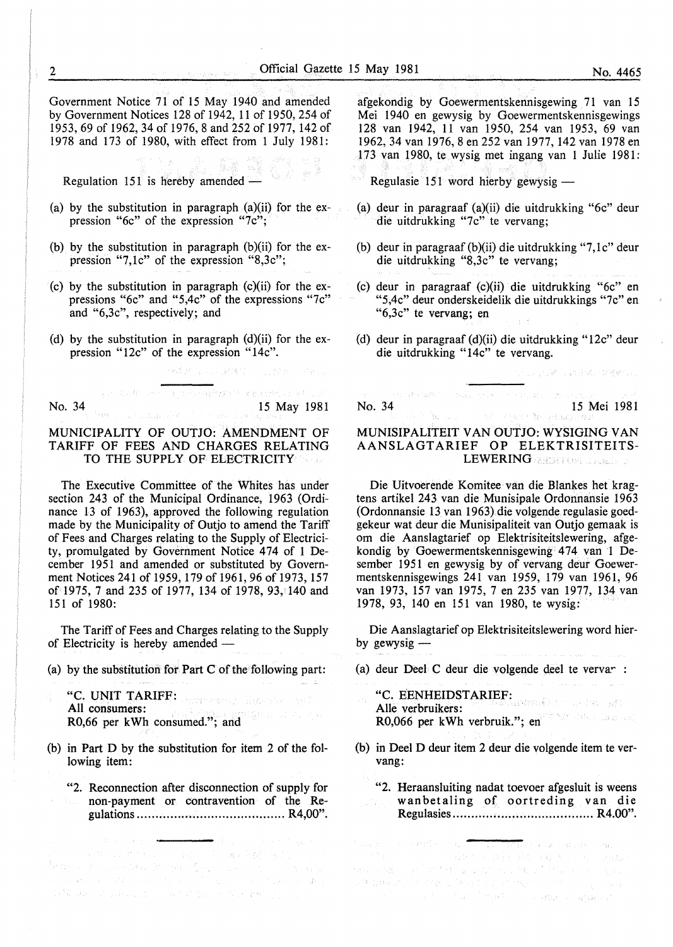Government Notice 71 of 15 May 1940 and amended by Government Notices 128 of 1942, 11 of 1950, 254 of 1953, 69 of 1962, 34 of 1976, 8 and 252 of 1977, 142 of 1978 and 173 of 1980, with effect from 1 July 1981:

Regulation 151 is hereby amended  $-$ 

- (a) by the substitution in paragraph  $(a)(ii)$  for the expression "6c" of the expression "7c";
- (b) by the substitution in paragraph (b)(ii) for the expression "7,1c" of the expression "8,3c";
- (c) by the substitution in paragraph (c)(ii) for the expressions "6c" and "5,4c" of the expressions "7c" and "6,3c", respectively; and
- (d) by the substitution in paragraph  $(d)(ii)$  for the expression "12c" of the expression "14c".

and and complements of dimension of

No. 34 15 May 1981

 $\label{eq:1} \mathcal{L}_{\text{max}}(\mathbf{y}) = \frac{1}{2} \sum_{i=1}^n \mathcal{L}_{\text{max}}(\mathbf{y}) \mathcal{L}_{\text{max}}(\mathbf{y})$ 

 $\mathcal{B}(\mathcal{S},\mathcal{M})\otimes_{\mathcal{M}}\mathcal{M}=\mathcal{B}(\mathcal{M},\mathcal{M})\otimes_{\mathcal{M}}\mathcal{M}(\mathcal{M})\otimes_{\mathcal{M}}\mathcal{M}(\mathcal{M}).$ 

#### MUNICIPALITY OF OUTJO: AMENDMENT OF TARIFF OF FEES AND CHARGES RELATING TO THE SUPPLY OF ELECTRICITY

The Executive Committee of the Whites has under section 243 of the Municipal Ordinance, 1963 (Ordinance l3 of 1963), approved the following regulation made by the Municipality of Outjo to amend the Tariff of Fees and Charges relating to the Supply of Electricity, promulgated by Government Notice 474 of 1 December 1951 and amended or substituted by Government Notices 241 of 1959, 179 of 1961,96 of 1973, 157 of 1975, 7 and 235 of 1977, 134 of 1978, 93, 140 and 151 of 1980:

The Tariff of Fees and Charges relating to the Supply of Electricity is hereby amended -

(a) by the substitution for Part  $C$  of the following part:

"C. UNIT TARIFF: All consumers: R0,66 per kWh consumed."; and

- (b) in Part D by the substitution for item 2 of the following item:
	- "2. Reconnection after disconnection of supply for non-payment or contravention of the Regulations ........................................ R4,00".

计实施公式 医神经病 人名英格兰人姓氏塞斯克斯的变体

afgekondig by Goewermentskennisgewing 71 van 15 Mei 1940 en gewysig by Goewermentskennisgewings 128 van 1942, 11 van 1950, 254 van 1953, 69 van 1962, 34 van 1976, 8 en 252 van 1977, 142 van 1978 en 173 van 1980, te wysig met ingang van 1 Julie 1981:

Regulasie 151 word hierby gewysig  $-$ 

- {a) deur in paragraaf (a)(ii) die uitdrukking "6c" deur die uitdrukking "7c" te vervang;
- (b) deur in paragraaf (b)(ii) die uitdrukking "7,1 $c$ " deur die uitdrukking "8,3c" te vervang;
- (c) deur in paragraaf (c)(ii) die uitdrukking "6c" en "5,4c" deur onderskeidelik die uitdrukkings "7c" en "6,3c" te vervang; en
- (d) deur in paragraaf (d)(ii) die uitdrukking "12c" deur die uitdrukking "14c" te vervang.

 $\label{eq:3.1} \left\langle \gamma_{1}^{1} \cdots \gamma_{2}^{2} \gamma_{2} \gamma_{2}^{2} \gamma_{2}^{3} \gamma_{1}^{4} \cdots \gamma_{1}^{4} \gamma_{2} \gamma_{3} \gamma_{4} \gamma_{5} \gamma_{6} \gamma_{7} \gamma_{8} \gamma_{1} \gamma_{1} \gamma_{1} \gamma_{2} \gamma_{1} \gamma_{2} \gamma_{3} \gamma_{4} \gamma_{5} \gamma_{6} \gamma_{7} \gamma_{8} \gamma_{9} \gamma_{1} \gamma_{1} \gamma_{1} \gamma_{2} \gamma_{1} \gamma_{2} \gamma_{2} \gamma_{3} \gamma_{4} \gamma_{$ No. 34 15 Mei 1981

アウトルバック しゅうきん つぼせいこ

### MUNISIPALITEIT VAN OUTJO: WYSIGING VAN AANSLAGT ARIEF OP ELEKTRISITEITS-LEWERING AND UNION AND DE

Die Uitvoerende Komitee van die Blankes het kragtens artikel 243 van die Munisipale Ordonnansie 1963 (Ordonnansie 13 van 1963) die volgende regulasie goedgekeur wat deur die Munisipaliteit van Outjo gemaak is om die Aanslagtarief op Elektrisiteitslewering, afgekondig by Goewermentskennisgewing 474 van 1 Desember 1951 en gewysig by of vervang deur Goewermentskennisgewings 241 van 1959, 179 van 1961, 96 van 1973, 157 van 1975, 7 en 235 van 1977, 134 van 1978, 93, 140 en 151 van 1980, te wysig:

Die Aanslagtarief op Elektrisiteitslewering word bierby gewysig  $-$ 

- (a) deur Deel C deur die volgende deel te vervar :
	- "C. EENHEIDSTARIEF: Aile verbruikers: R0,066 per kWh verbruik."; en
- (b) in Deel D deur item 2 deur die volgende item te vervang:
	- "2. Heraansluiting nadat toevoer afgesluit is weens wanbetaling of oortreding van die Regulasies ...................................... R4.00".

 $\mathcal{L} = \mathcal{L} \left( \mathcal{L} \mathcal{L} \left( \mathcal{L} \right) \right) \times \mathcal{L} \left( \mathcal{L} \right)$ 

 $\frac{1}{4}$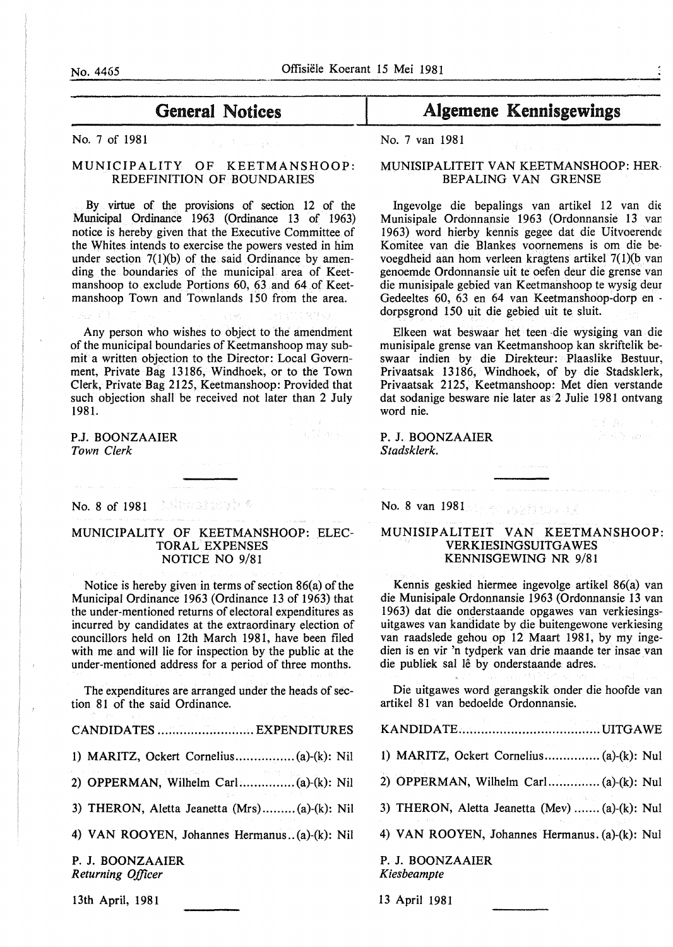No. 7 of 1981 No. 7 van 1981

#### MUNICIPALITY OF KEETMANSHOOP: REDEFINITION OF BOUNDARIES

By virtue of the provisions of section 12 of the Municipal Ordinance 1963 (Ordinance 13 of 1963) notice is hereby given that the Executive Committee of the Whites intends to exercise the powers vested in him under section  $7(1)(b)$  of the said Ordinance by amending the boundaries of the municipal area of Keetmanshoop to exclude Portions 60, 63 and 64 of Keetmanshoop Town and Townlands 150 from the area.

Any person who wishes to object to the amendment of the municipal boundaries of Keetmanshoop may submit a written objection to the Director: Local Government, Private Bag 13186, Windhoek, or to the Town Clerk, Private Bag 2125, Keetmanshoop: Provided that such objection shall be received not later than 2 July 1981.

P.J. BOONZAAIER *Town Clerk* 

No. 8 of 1981 **1982** Service 1983

#### MUNICIPALITY OF KEETMANSHOOP: ELEC-TORAL EXPENSES NOTICE NO 9/81

Notice is hereby given in terms of section 86(a) of the Municipal Ordinance 1963 (Ordinance 13 of 1963) that the under-mentioned returns of electoral expenditures as incurred by candidates at the extraordinary election of councillors held on 12th March 1981, have been filed with me and will lie for inspection by the public at the under-mentioned address for a period of three months.

The expenditures are arranged under the heads of section 81 of the said Ordinance.

| CANDIDATES  EXPENDITURES                     |
|----------------------------------------------|
|                                              |
| 2) OPPERMAN, Wilhelm Carl (a)-(k): Nil       |
| 3) THERON, Aletta Jeanetta (Mrs)(a)-(k): Nil |
| 4) VAN ROOYEN, Johannes Hermanus(a)-(k): Nil |
| P. J. BOONZAAJER<br>Returning Officer        |

13th April, 1981

# General Notices and Algemene Kennisgewings

#### MUNISIPALITEIT VAN KEETMANSHOOP: HER BEPALING VAN GRENSE

Ingevolge die bepalings van artikel 12 van die Munisipale Ordonnansie 1963 (Ordonnansie 13 var: 1963) word hierby kennis gegee dat die Uitvoerende Komitee van die Blankes voornemens is om die bevoegdheid aan hom verleen kragtens artikel 7( l)(b van genoemde Ordonnansie uit te oefen deur die grense van die munisipale gebied van Keetmanshoop te wysig deur Gedeeltes 60, 63 en 64 van Keetmanshoop-dorp en dorpsgrond 150 uit die gebied uit te sluit.

Elkeen wat beswaar het teen die wysiging van die munisipale grense van Keetmanshoop kan skriftelik beswaar indien by die Direkteur: Plaaslike Bestuur, Privaatsak 13186, Windhoek, of by die Stadsklerk, Privaatsak 2125, Keetmanshoop: Met dien verstande dat sodanige besware nie later as 2 Julie 1981 ontvang word nie. 1 f Be

Profile game

P. J. BOONZAAIER *Stadsklerk.* 

No. 8 van 1981

지수 나는 사

#### MUNISIPALITEIT VAN KEETMANSHOOP: VERKIESINGSUITGA WES KENNISGEWING NR 9/81

Kennis geskied hiermee ingevolge artikel 86(a) van die Munisipale Ordonnansie 1963 (Ordonnansie 13 van 1963) dat die onderstaande opgawes van verkiesingsuitgawes van kandidate by die buitengewone verkiesing van raadslede gehou op 12 Maart 1981, by my ingedien is en vir 'n tydperk van drie maande ter insae van die publiek sal lê by onderstaande adres.

Die uitgawes word gerangskik onder die hoofde van artikel 81 van bedoelde Ordonnansie.

KANDIDATE ...................................... UITGAWE

- 1) MARITZ, Ockert Cornelius ............... (a)-(k): Nul
- 2) OPPERMAN, Wilhelm Carl.. ............ (a)-(k): Nul
- 3) THERON, Aletta Jeanetta (Mev) ....... (a)-(k): Nul
- 4) VAN ROOYEN, Johannes Hermanus. (a)-(k): Nul

P. J. BOONZAAIER *Kiesbeampte* 

13 April 1981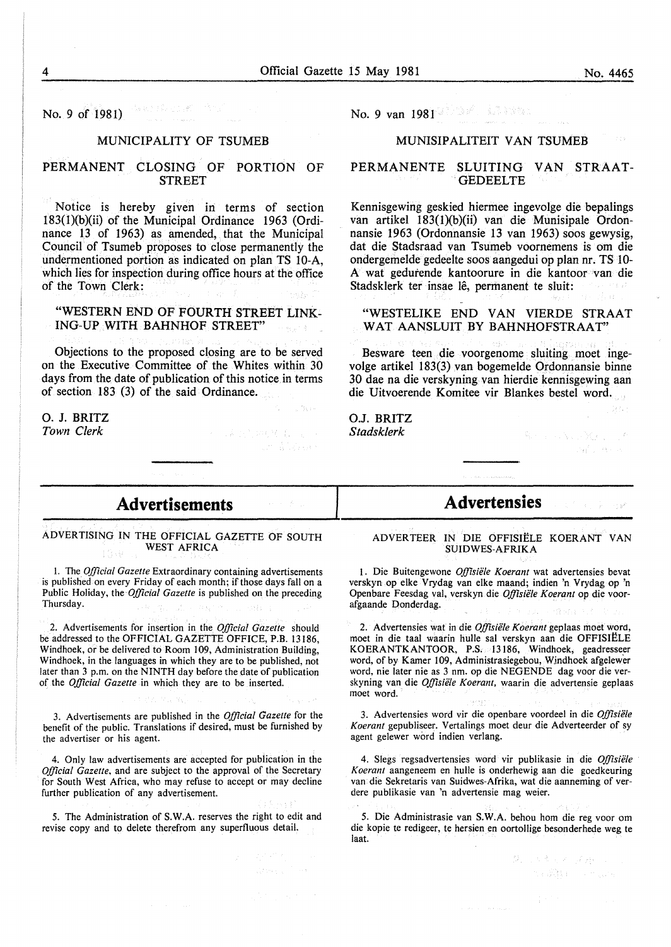$\mathcal{L}_{\mathcal{M}}(\mathcal{C}_{\mathcal{A}}) \cong \mathcal{L}_{\mathcal{M}}^{\mathcal{A}}(\mathcal{C}_{\mathcal{A}}) \cong \mathcal{C}_{\mathcal{A}}^{\mathcal{C}}$ No. 9 of 1981)

#### MUNICIPALITY OF TSUMEB

#### PERMANENT CLOSING OF PORTION OF **STREET**

Notice is hereby given in terms of section  $183(1)(b)(ii)$  of the Municipal Ordinance 1963 (Ordinance 13 of 1963) as amended, that the Municipal Council of Tsumeb proposes to close permanently the undermentioned portion as indicated on plan TS 10-A, which lies for inspection during office hours at the office of the Town Clerk:

#### "WESTERN END OF FOURTH STREET LINK-ING-UP WITH BAHNHOF STREET"

Objections to the proposed closing are to be served on the Executive Committee of the Whites within 30 days from the date of publication of this notice in terms of section 183 (3) of the said Ordinance.

0. J. BRITZ *Town Clerk* 

# No. 9 van 1981

#### MUNISIPALITEIT VAN TSUMEB

#### PERMANENTE SLUITING VAN STRAAT-**GEDEELTE**

Kennisgewing geskied hiermee ingevolge die bepalings van artikel 183(1)(b)(ii) van die Munisipale Ordonnansie 1963 (Ordonnansie 13 van 1963) soos gewysig, dat die Stadsraad van Tsumeb voornemens is om die ondergemelde gedeelte soos aangedui op plan nr. TS lO-A wat gedutende kantoorure in die kantoor van die Stadsklerk ter insae lê, permanent te sluit:

#### "WESTELIKE END VAN VIERDE STRAAT WAT AANSLUIT BY BAHNHOFSTRAAT"

Besware teen die voorgenome sluiting moet ingevolge artikel 183(3) van bogemelde Ordonnansie binne 30 dae na die verskyning van hierdie kennisgewing aan die Uitvoerende Komitee vir Blankes bestel word.

O.J. BRITZ *Stadsklerk* 

Children

# **Advertisements**

ADVERTISING IN THE OFFICIAL GAZETTE OF SOUTH WEST AFRICA

l. The *Official Gazette* Extraordinary containing advertisements is published on every Friday of each month; if those days fall on a Public Holiday, the *Official Gazette* is published on the preceding Thursday.

2. Advertisements for insertion in the *Official Gazette* should be addressed to the OFFICIAL GAZETTE OFFICE, P.B. 13186, Windhoek, or be delivered to Room 109, Administration Building, Windhoek, in the languages in which they are to be published, not later than 3 p.m. on the NINTH day before the date of publication of the *Official Gazette* in which they are to be inserted.

3. Advertisements are published in the *Official Gazette* for the benefit of the public. Translations if desired, must be furnished by the advertiser or his agent.

4. Only law advertisements are accepted for publication in the *Official Gazette,* and are subject to the approval of the Secretary for South West Africa, who may refuse to accept or may decline further publication of any advertisement.

5. The Administration of S.W.A. reserves the right to edit and revise copy and to delete therefrom any superfluous detail.

#### ADVERTEER IN DIE OFFISIELE KOERANT VAN SUIDWES-AFRIKA

**Advertensies** 

1. Die Buitengewone *Offisiele Koerant* wat advertensies bevat verskyn op elke Vrydag van elke maand; indien 'n Vrydag op 'n Openbare Feesdag val, verskyn die Offisiële Koerant op die voorafgaande Donderdag.

2. Advertensies wat in die *Offisiele Koerant* geplaas moet word, moet in die taal waarin hulle sal verskyn aan die OFFISIELE KOERANTKANTOOR, P.S. 13186, Windhoek, geadresseer word, of by Kamer 109, Administrasiegebou, Windhoek afgelewer word, nie later nie as 3 nm. op die NEGENDE dag voor die verskyning van die *Offisiele Koerant,* waarin die advertensie geplaas moet word.

3. Advertensies word vir die openbare voordeel in die *Offisiele Koerant* gepubliseer. Vertalings moet deur die Adverteerder of sy agent gelewer word indien verlang.

4. Slegs regsadvertensies word vir publikasie in die *Offisiele Koerant* aangeneem en hulle is onderhewig aan die goedkeuring van die Sekretaris van Suidwes-Afrika, wat die aanneming of verdere publikasie van 'n advertensie mag weier.

5. Die Administrasie van S.W.A. behou hom die reg voor om die kopie te redigeer, te hersien en oortollige besonderhede weg te laat.

> 2. 以来可以通用 (1) n Sin Le San

 $\left\langle \left\langle \mathcal{F}_{\mathbf{y}}\right\rangle \right\rangle _{0}^{2}=\left\langle \left\langle \mathcal{F}_{\mathbf{y}}\right\rangle \right\rangle _{0}$ 

和学习、成功、学

 $32.77 +$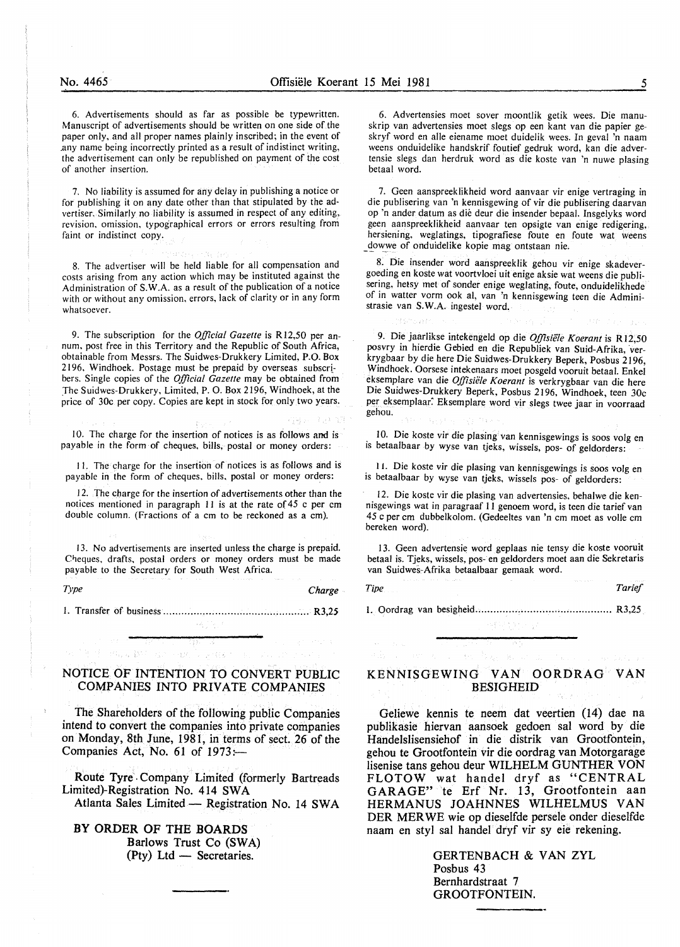6. Advertisements should as far as possible be typewritten. Manuscript of advertisements should be written on one side of the paper only, and all proper names plainly inscribed; in the event of .any name being incorrectly printed as a result of indistinct writing, the advertisement can only be republished on payment of the cost of another insertion.

7. No liability is assumed for any delay in publishing a notice or for publishing it on any date other than that stipulated by the advertiser. Similarly no liability is assumed in respect of any editing, revision, omission, typographical errors or errors resulting from faint or indistinct copy.

8. The advertiser will be held liable for all compensation and costs arising from any action which may be instituted against the Administration of S.W.A. as a result of the publication of a notice with or without any omission. errors, lack of clarity or in any form whatsoever.

eard out of the dec

9. The subscription for the *Official Gazette* is R12,50 per annum, post free in this Territory and the Republic of South Africa, obtainable from Messrs. The Suidwes-Drukkery Limited, P.O. Box 2196, Windhoek. Postage must be prepaid by overseas subscr! bers. Single copies of the *Official Gazette* may be obtained from The Suidwes-Drukkery, Limited, P. 0. Box 2196, Windhoek, at the price of 30c per copy. Copies are kept in stock for only two years.

10. The charge for the insertion of notices is as follows and is payable in the form of cheques, bills, postal or money orders:

I I. The charge for the insertion of notices is as follows and is payable in the form of cheques. bills, postal or money orders:

12. The charge for the insertion of advertisements other than the notices mentioned in paragraph II is at the rate of 45 c per em double column. (Fractions of a em to be reckoned as a em).

13. No advertisements are inserted unless the charge is prepaid. Cheques, drafts, postal orders or money orders must be made payable to the Secretary for South West Africa.

*Type Charge* 

I. Transfer of business ................................................ R3,25

주인 구

is yn (35 m

 $\sim \chi_s^{\rm SM}$  .

医肾性 网络蚊虫

#### NOTICE OF INTENTION TO CONVERT PUBLIC COMPANIES INTO PRIVATE COMPANIES

The Shareholders of the following public Companies intend to convert the companies into private companies on Monday, 8th June, 1981, in terms of sect. 26 of the Companies Act, No. 61 of 1973:-

Route Tyre . Company Limited (formerly Bartreads Limited)-Registration No. 414 SW A

Atlanta Sales Limited - Registration No. 14 SWA

BY ORDER OF THE BOARDS Barlows Trust Co (SWA)  $(Pty)$  Ltd — Secretaries.

6. Advertensies moet sover moontlik getik wees. Die manuskrip van advertensies moet slegs op een kant van die papier geskryf word en aile eiename moet duidelik wees. In geval 'n naam weens onduidelike handskrif foutief gedruk word, kan die advertensie slegs dan herdruk word as die koste van 'n nuwe plasing betaal word.

7. Geen aanspreeklikheid word aanvaar vir enige vertraging in die publisering van 'n kennisgewing of vir die publisering daarvan op 'n ander datum as die deur die insender bepaal. Insgelyks word geen aanspreeklikheid aanvaar ten opsigte van enige redigering, hersiening, weglatings, tipografiese foute en foute wat weens dowwe of onduidelike kopie mag ontstaan nie.

8. Die insender word aanspreeklik gehou vir enige skadevergoeding en koste wat voortvloei uit enige aksie wat weens die publisering, hetsy met of sonder enige weglating, foute, onduidelikhede of in watter vorm ook al, van 'n kennisgewing teen die Administrasie van S.W.A. ingestel word.

9. Die jaarlikse intekengeld op die *Offisiiile Koerant* is Rl2,50 posvry in hierdie Gebied en die Republiek van Suid-Afrika, 'verkrygbaar by die here Die Suidwes-Drukkery Beperk, Posbus 2196, Windhoek. Oorsese intekenaars moet posgeld vooruit betaal. Enkel eksemplare van die *Offisiele Koerant* is verkrygbaar van die here Die Suidwes-Drukkery Beperk, Posbus 2196, Windhoek, teen 30c per eksemplaar. Eksemplare word vir slegs twee jaar in voorraad gehou.

10. Die koste vir die plasing van kennisgewings is soos volg en is betaalbaar by wyse van tjeks, wissels, pos- of geldorders:

I 1. Die koste vir die plasing van kennisgewings is soos volg en is betaalbaar by wyse van tjeks, wissels pos- of geldorders:

12. Die koste vir die plasing van advertensies, behalwe die kennisgewings wat in paragraaf 11 genoem word, is teen die tarief van 45 c per em dubbelkolom. (Gedeeltes van 'n em moet as volle em bereken word).

13. Geen advertensie word geplaas nie tensy die koste vooruit betaal is. Tjeks, wissels, pos- en geldorders moet aan die Sekretaris van Suidwes-Afrika betaalbaar gemaak word.

*Tipe* Tarief **Tarifaction** 

l. Oordrag van besigheid ............................................. R3,25

## KENNISGEWING VAN OORDRAG VAN BESIGHEID

Geliewe kennis te neem dat veertien (14) dae na publikasie hiervan aansoek gedoen sal word by die Handelslisensiehof in die distrik van Grootfontein, gehou te Grootfontein vir die oordrag van Motorgarage lisenise tans gehou deur WILHELM GUNTHER VON FLOTOW wat handel dryf as "CENTRAL GARAGE" te Erf Nr. 13, Grootfontein aan HERMANUS JOAHNNES WILHELMUS VAN DER MER WE wie op dieselfde persele onder dieselfde naam en styl sal handel dryf vir sy eie rekening.

> GERTENBACH & VAN ZYL Posbus 43 Bernhardstraat 7 GROOTFONTEIN.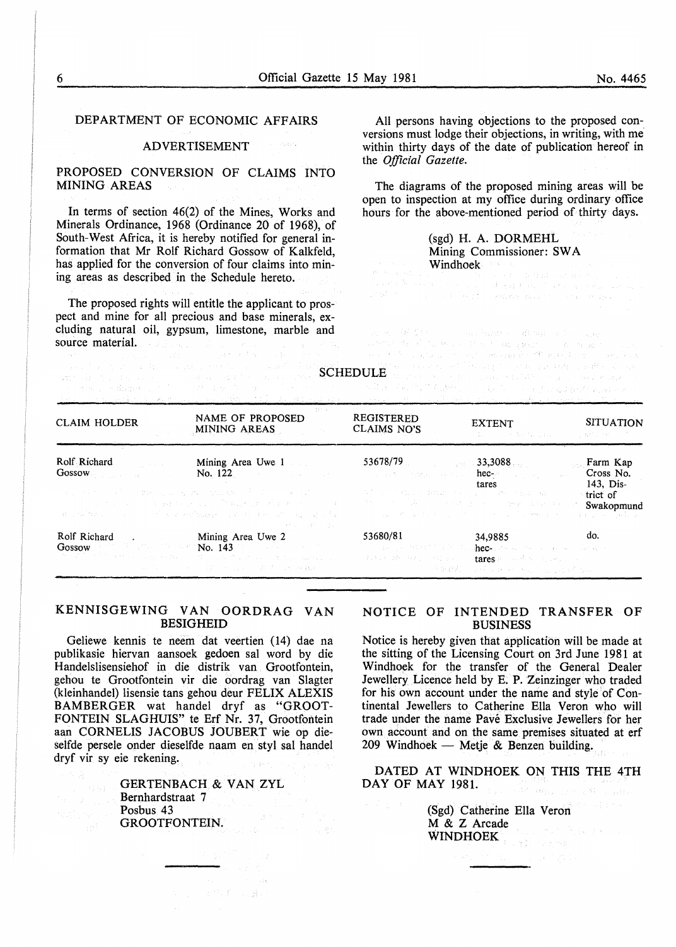$\left\langle \left( \mathbf{y}_{\mathrm{max}} \right) \right\rangle$ 

#### DEPARTMENT OF ECONOMIC AFFAIRS

#### ADVERTISEMENT

#### PROPOSED CONVERSION OF CLAIMS INTO MINING AREAS

In terms of section 46(2) of the Mines, Works and Minerals Ordinance, 1968 (Ordinance 20 of 1968), of South-West Africa, it is hereby notified for general information that Mr Rolf Richard Gossow of Kalkfeld, has applied for the conversion of four claims into mining areas as described in the Schedule hereto.

The proposed rights will entitle the applicant to prospect and mine for all precious and base minerals, ex-<br>cluding natural oil, gypsum, limestone, marble and cluding natural oil, gypsum, limestone, marble and source material.

All persons having objections to the proposed conversions must lodge their objections, in writing, with me within thirty days of the date of publication hereof in the *Official Gazette.* 

The diagrams of the proposed mining areas will be open to inspection at my office during ordinary office hours for the above-mentioned period of thirty days.

# (sgd) H. A. DORMEHL Mining Commissioner: SW A

 $\begin{minipage}[t]{0.9\textwidth}{ \begin{minipage}[t]{0.9\textwidth}{ \begin{minipage}[t]{0.9\textwidth}{ \begin{minipage}[t]{0.9\textwidth}{ \begin{minipage}[t]{0.9\textwidth}{ \begin{minipage}[t]{0.9\textwidth}{ \begin{minipage}[t]{0.9\textwidth}{ \begin{minipage}[t]{0.9\textwidth}{ \begin{minipage}[t]{0.9\textwidth}{ \begin{minipage}[t]{0.9\textwidth}{ \begin{minipage}[t]{0.9\textwidth}{ \begin{minipage}[t]{0.9\textwidth}{ \begin{minipage}[t]{0.9\textwidth}{ \begin{minipage}[t]{0.9$ 

|                                                                                                   | [1] 이 김 씨가 있는 사람들의 유민이는 아이들은 아이들이 아직 사람들은 사람들을 만들었다. 이 사람들은 아이들이 있다.<br>The component of our source of the control of the component of the component of the component of the component                                                                                                                                                                                                                                                                                                                                  | 그 어머니는 이 학생들에게 나가 나왔다. 나는 아이는 사람이 아니라 그 사람들은 그 마음을 벌레 가 있는 것을 만들었다.<br>a series and the company of the series of the series of the series of the series of the series of the series of |                                                                                                                                                                                                                                                                                                                                       |                                    |
|---------------------------------------------------------------------------------------------------|-------------------------------------------------------------------------------------------------------------------------------------------------------------------------------------------------------------------------------------------------------------------------------------------------------------------------------------------------------------------------------------------------------------------------------------------------------------------------------------------------------------------------|----------------------------------------------------------------------------------------------------------------------------------------------------------------------------------------|---------------------------------------------------------------------------------------------------------------------------------------------------------------------------------------------------------------------------------------------------------------------------------------------------------------------------------------|------------------------------------|
| <b>CLAIM HOLDER</b>                                                                               | 237.30<br>NAME OF PROPOSED<br>MINING AREAS<br><u> Desperanto de la p</u> esa de la filma de                                                                                                                                                                                                                                                                                                                                                                                                                             | <b>REGISTERED</b><br>CLAIMS NO'S                                                                                                                                                       | <b>EXTENT</b><br>addition of the Association of the Constantinople of the                                                                                                                                                                                                                                                             | <b>SITUATION</b>                   |
| Rolf Richard<br>التواصل والمنازل<br>$\text{Gossov}_{\text{Cov}}$ and $\text{Gosrow}_{\text{Cov}}$ | Mining Area Uwe 1<br>$\text{No.} \ 122$                                                                                                                                                                                                                                                                                                                                                                                                                                                                                 | $53678/79$ and $533,3088$ and $53678/79$<br>s a series experiences in the <b>hec</b> e the series of the                                                                               |                                                                                                                                                                                                                                                                                                                                       | Farm Kap<br>Cross No.<br>143, Dis- |
|                                                                                                   | しゅうしゃ かいしょう しっかん ないこう 落ち なにもの こうこうしょうほうしょう<br>and the second control of the second second second second control of the second second second second second second<br>a conference and conferent thought out the deviation of the species<br>state of the second state of the state                                                                                                                                                                                                                                       | A form of PACT of BRATISTS of a complete Pact Capture Gallery                                                                                                                          | tares<br>o determine a l'alta a componente del parte del componente del personal del personal del componente del componente del componente del componente del componente del componente del componente del componente del componente de<br>the company of the first state of the control of the seeding of the company of the seeding | trict of<br>Swakopmund             |
| Rolf Richard                                                                                      | . Mining Area Uwe 2<br>Gossow Grand Control of No. 143 Control of No. 143 Control of No. 143 Control of No. 143 Control of No. 143 Control of No. 143 Control of No. 143 Control of No. 143 Control of No. 143 Control of No. 143 Control of No. 143<br>The second contract of the contract of the contract of the contract of the contract of the contract of the contract of the contract of the contract of the contract of the contract of the contract of the contract of the con<br>このことに、 アール・コンクリーン みずしょう 林野 しょ | 53680/81<br>1000 Block 网络绿绿色 医阴道炎<br>未决定 机分析 中国的一个地方 医心脏<br>그 아무리                                                                                                                      | 34,9885 do.<br>thee-care of the companion and speak of<br>$\pm \text{arcs}$ is a set of the second contribution of $\mathbb{R}^n$<br>and a transformation and the same                                                                                                                                                                |                                    |

SCHEDULE

### KENNISGEWING VAN OORDRAG VAN BESIGHEID

Geliewe kennis te neem dat veertien (14) dae na publikasie hiervan aansoek gedoen sal word by die Handelslisensiehof in die distrik van Grootfontein, gehou te Grootfontein vir die oordrag van Slagter (kleinhandel) lisensie tans gehou deur FELIX ALEXIS BAMBERGER wat handel dryf as "GROOT-FONTEIN SLAGHUIS" te Erf Nr. 37, Grootfontein aan CORNELIS JACOBUS JOUBERT wie op dieselfde persele onder dieselfde naam en styl sal handel dryf vir sy eie rekening.

> GERTENBACH & VAN ZYL Bernhardstraat 7 Posbus 43 GROOTFONTEIN.

> > $\mathcal{N} = \left\{ \left[ \mathcal{N} \right] \in \mathcal{N} \right\} \left( \mathcal{N} = \left\{ \mathcal{N} \right\} \right) \neq 0$

### NOTICE OF INTENDED TRANSFER OF BUSINESS

Notice is hereby given that application will be made at the sitting of the Licensing Court on 3rd June 1981 at Windhoek for the transfer of the General Dealer Jewellery Licence held by E. P. Zeinzinger who traded for his own account under the name and style of Continental Jewellers to Catherine Ella Veron who will trade under the name Pave Exclusive Jewellers for her own account and on the same premises situated at erf 209 Windhoek — Metje & Benzen building.

DATED AT WINDHOEK ON THIS THE 4TH DAY OF MAY 1981. The state of the state of the state

> (Sgd) Catherine Ella Veron M & Z Arcade WINDHOEK

 $\mathbb{S}^n \times \mathbb{R}^n$  , and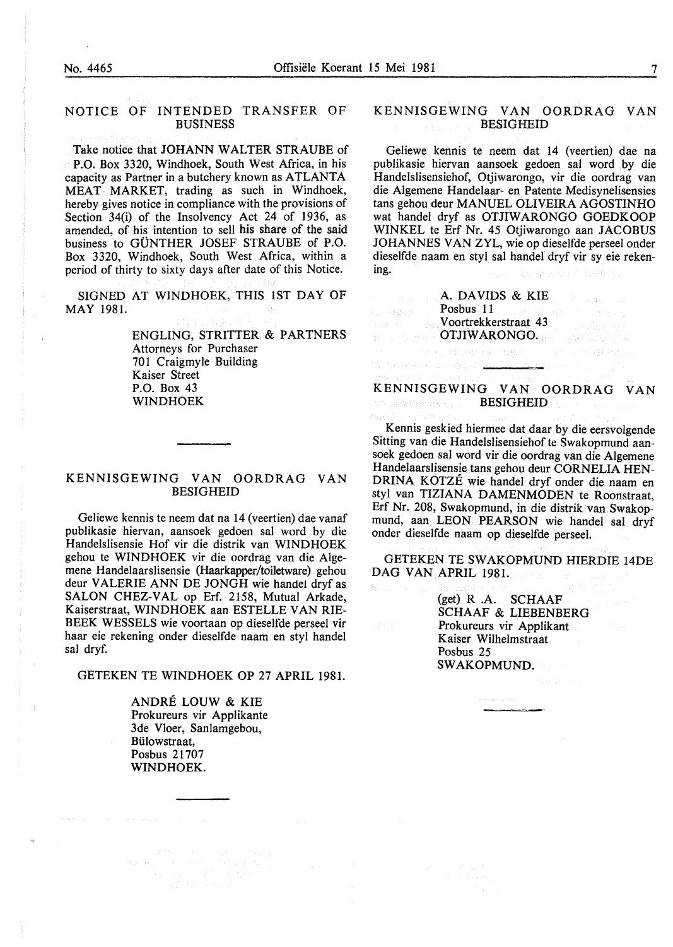#### NOTICE OF INTENDED TRANSFER OF BUSINESS

Take notice that JOHANN WALTER STRAUBE of P.O. Box 3320, Windhoek, South West Africa, in his capacity as Partner in a butchery known as ATLANTA MEAT MARKET, trading as such in Windhoek, hereby gives notice in compliance with the provisions of Section 34(i) of the Insolvency Act 24 of 1936, as amended, of his intention to sell his share of the said business to GUNTHER JOSEF STRAUBE of P.O. Box 3320, Windhoek, South West Africa, within a period of thirty to sixty days after date of this Notice.

SIGNED AT WINDHOEK, THIS 1ST DAY OF MAY 1981.

> ENGLING, STRITTER. & PARTNERS Attorneys for Purchaser 701 Craigmyle Building Kaiser Street P.O. Box 43 WINDHOEK

#### KENNISGEWING VAN OORDRAG VAN BESIGHEID

Geliewe kennis te neem dat na 14 (veertien) dae vanaf publikasie hiervan, aansoek gedoen sal word by die Handelslisensie Hof vir die distrik van WINDHOEK gehou te WINDHOEK vir die oordrag van die Algemene Handelaarslisensie (Haarkapper/toiletware) gehou deur VALERIE ANN DE JONGH wie handel dryf as SALON CHEZ-VAL op Erf. 2158, Mutual Arkade, Kaiserstraat, WINDHOEK aan ESTELLE VAN RIE-BEEK WESSELS wie voortaan op dieselfde perseel vir haar eie rekening onder dieselfde naam en styl handel sal dryf.

GETEKEN TE WINDHOEK OP 27 APRIL 1981.

ANDRE LOUW & KIE Prokureurs vir Applikante 3de Vloer, Sanlamgebou, Biilowstraat, Posbus 21707 WINDHOEK.

 $\begin{split} \mathcal{L}_{\text{c}} & = \mathcal{L} \mathcal{R} \mathcal{R} \mathcal{R} \mathcal{R} \mathcal{R} \mathcal{R} \mathcal{R} \mathcal{R} \mathcal{R} \mathcal{R} \mathcal{R} \mathcal{R} \mathcal{R} \mathcal{R} \mathcal{R} \mathcal{R} \mathcal{R} \mathcal{R} \mathcal{R} \mathcal{R} \mathcal{R} \mathcal{R} \mathcal{R} \mathcal{R} \mathcal{R} \mathcal{R} \mathcal{R} \mathcal{R} \mathcal{R} \mathcal{R} \mathcal{R} \mathcal{R} \mathcal{$ 

#### KENNISGEWING VAN OORDRAG VAN BESIGHEID

Geliewe kennis te neem dat 14 (veertien) dae na publikasie hiervan aansoek gedoen sal word by die Handelslisensiehof, Otjiwarongo, vir die oordrag van die Algemene Handelaar- en Patente Medisynelisensies tans gehou deur MANUEL OLIVEIRA AGOSTINHO wat handel dryf as OTJIW ARONGO GOEDKOOP WINKEL te Erf Nr. 45 Otjiwarongo aan JACOBUS JOHANNES VAN ZYL, wie op dieselfde perseel onder dieselfde naam en styl sal handel dryf vir sy eie rekening. wear of the Charakter.

A. DAVIDS & KIE Posbus 11 Poster Condances V oortrekkerstraat 43 OTJIW ARONGO.

a norsk eller dag og 2

第6200万

KENNISGEWING VAN OORDRAG VAN de Machgoover (b. BESIGHEID)

in Alexandra de Carteste e comunicado e de Carteste e Carteste e Carteste e Carteste e Carteste e Carteste e C

Kennis geskied hiermee dat daar by die eersvolgende Sitting van die Handelslisensiehof te Swakopmund aansoek gedoen sal word vir die oordrag van die Algemene Handelaarslisensie tans gehou deur CORNELIA HEN-DRINA KOTZE wie handel dryf onder die naam en styl van TIZIANA DAMENMODEN te Roonstraat, Erf Nr. 208, Swakopmund, in die distrik van Swakopmund, aan LEON PEARSON wie handel sal dryf onder dieselfde naam op dieselfde perseel.

GETEKEN TE SWAKOPMUND HIERDIE 14DE DAG VAN APRIL 1981.

> (get) R .A. SCHAAF SCHAAF & LIEBENBERG Prokureurs vir Applikant Kaiser Wilhelmstraat Posbus 25 SWAKOPMUND.